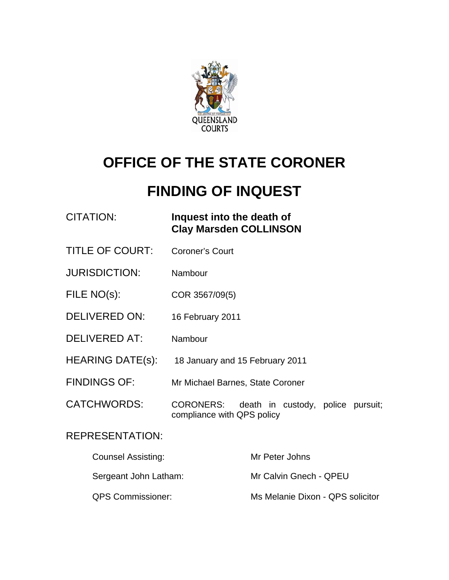

# **OFFICE OF THE STATE CORONER**

## **FINDING OF INQUEST**

CITATION: **Inquest into the death of Clay Marsden COLLINSON** 

- TITLE OF COURT: Coroner's Court
- JURISDICTION: Nambour
- FILE NO(s): COR 3567/09(5)
- DELIVERED ON: 16 February 2011
- DELIVERED AT: Nambour
- HEARING DATE(s): 18 January and 15 February 2011
- FINDINGS OF: Mr Michael Barnes, State Coroner
- CATCHWORDS: CORONERS: death in custody, police pursuit; compliance with QPS policy

## REPRESENTATION:

| Counsel Assisting:       | Mr Peter Johns                   |
|--------------------------|----------------------------------|
| Sergeant John Latham:    | Mr Calvin Gnech - QPEU           |
| <b>QPS Commissioner:</b> | Ms Melanie Dixon - QPS solicitor |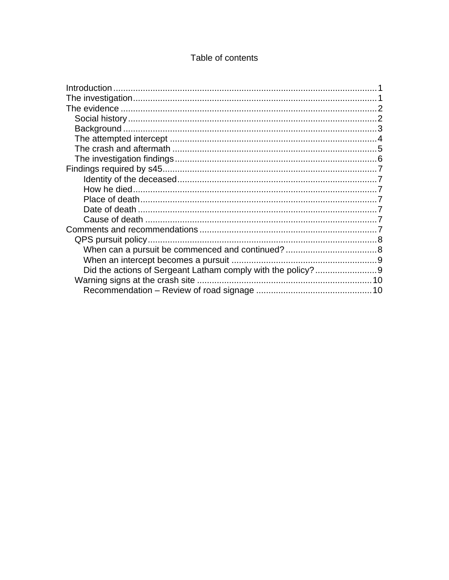### Table of contents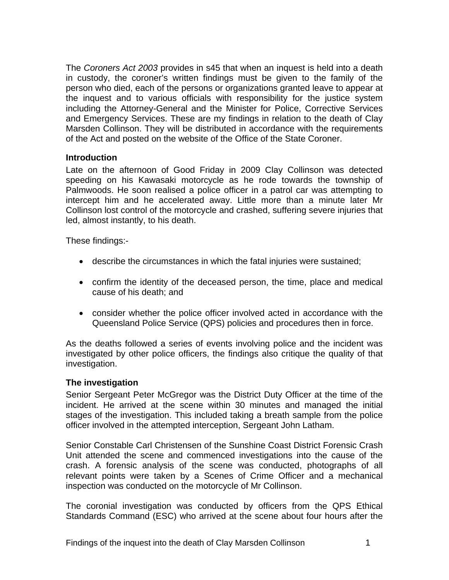<span id="page-2-0"></span>The *Coroners Act 2003* provides in s45 that when an inquest is held into a death in custody, the coroner's written findings must be given to the family of the person who died, each of the persons or organizations granted leave to appear at the inquest and to various officials with responsibility for the justice system including the Attorney-General and the Minister for Police, Corrective Services and Emergency Services. These are my findings in relation to the death of Clay Marsden Collinson. They will be distributed in accordance with the requirements of the Act and posted on the website of the Office of the State Coroner.

#### **Introduction**

Late on the afternoon of Good Friday in 2009 Clay Collinson was detected speeding on his Kawasaki motorcycle as he rode towards the township of Palmwoods. He soon realised a police officer in a patrol car was attempting to intercept him and he accelerated away. Little more than a minute later Mr Collinson lost control of the motorcycle and crashed, suffering severe injuries that led, almost instantly, to his death.

These findings:-

- describe the circumstances in which the fatal injuries were sustained;
- confirm the identity of the deceased person, the time, place and medical cause of his death; and
- consider whether the police officer involved acted in accordance with the Queensland Police Service (QPS) policies and procedures then in force.

As the deaths followed a series of events involving police and the incident was investigated by other police officers, the findings also critique the quality of that investigation.

#### **The investigation**

Senior Sergeant Peter McGregor was the District Duty Officer at the time of the incident. He arrived at the scene within 30 minutes and managed the initial stages of the investigation. This included taking a breath sample from the police officer involved in the attempted interception, Sergeant John Latham.

Senior Constable Carl Christensen of the Sunshine Coast District Forensic Crash Unit attended the scene and commenced investigations into the cause of the crash. A forensic analysis of the scene was conducted, photographs of all relevant points were taken by a Scenes of Crime Officer and a mechanical inspection was conducted on the motorcycle of Mr Collinson.

The coronial investigation was conducted by officers from the QPS Ethical Standards Command (ESC) who arrived at the scene about four hours after the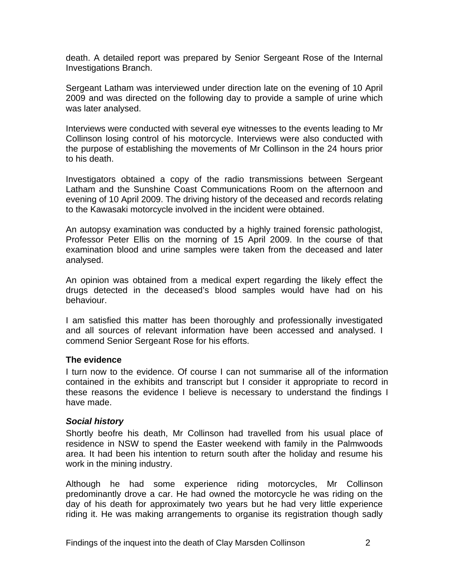<span id="page-3-0"></span>death. A detailed report was prepared by Senior Sergeant Rose of the Internal Investigations Branch.

Sergeant Latham was interviewed under direction late on the evening of 10 April 2009 and was directed on the following day to provide a sample of urine which was later analysed.

Interviews were conducted with several eye witnesses to the events leading to Mr Collinson losing control of his motorcycle. Interviews were also conducted with the purpose of establishing the movements of Mr Collinson in the 24 hours prior to his death.

Investigators obtained a copy of the radio transmissions between Sergeant Latham and the Sunshine Coast Communications Room on the afternoon and evening of 10 April 2009. The driving history of the deceased and records relating to the Kawasaki motorcycle involved in the incident were obtained.

An autopsy examination was conducted by a highly trained forensic pathologist, Professor Peter Ellis on the morning of 15 April 2009. In the course of that examination blood and urine samples were taken from the deceased and later analysed.

An opinion was obtained from a medical expert regarding the likely effect the drugs detected in the deceased's blood samples would have had on his behaviour.

I am satisfied this matter has been thoroughly and professionally investigated and all sources of relevant information have been accessed and analysed. I commend Senior Sergeant Rose for his efforts.

#### **The evidence**

I turn now to the evidence. Of course I can not summarise all of the information contained in the exhibits and transcript but I consider it appropriate to record in these reasons the evidence I believe is necessary to understand the findings I have made.

#### *Social history*

Shortly beofre his death, Mr Collinson had travelled from his usual place of residence in NSW to spend the Easter weekend with family in the Palmwoods area. It had been his intention to return south after the holiday and resume his work in the mining industry.

Although he had some experience riding motorcycles, Mr Collinson predominantly drove a car. He had owned the motorcycle he was riding on the day of his death for approximately two years but he had very little experience riding it. He was making arrangements to organise its registration though sadly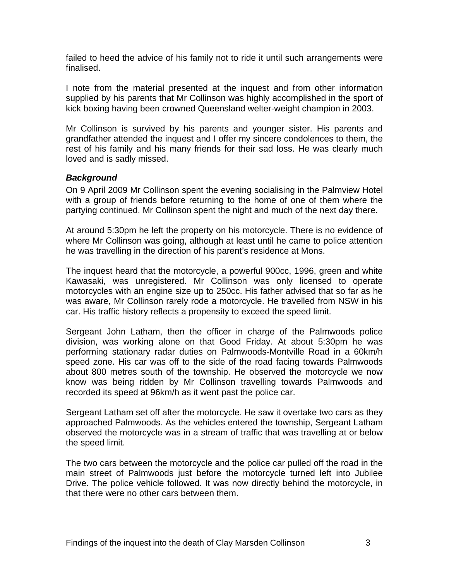<span id="page-4-0"></span>failed to heed the advice of his family not to ride it until such arrangements were finalised.

I note from the material presented at the inquest and from other information supplied by his parents that Mr Collinson was highly accomplished in the sport of kick boxing having been crowned Queensland welter-weight champion in 2003.

Mr Collinson is survived by his parents and younger sister. His parents and grandfather attended the inquest and I offer my sincere condolences to them, the rest of his family and his many friends for their sad loss. He was clearly much loved and is sadly missed.

#### *Background*

On 9 April 2009 Mr Collinson spent the evening socialising in the Palmview Hotel with a group of friends before returning to the home of one of them where the partying continued. Mr Collinson spent the night and much of the next day there.

At around 5:30pm he left the property on his motorcycle. There is no evidence of where Mr Collinson was going, although at least until he came to police attention he was travelling in the direction of his parent's residence at Mons.

The inquest heard that the motorcycle, a powerful 900cc, 1996, green and white Kawasaki, was unregistered. Mr Collinson was only licensed to operate motorcycles with an engine size up to 250cc. His father advised that so far as he was aware, Mr Collinson rarely rode a motorcycle. He travelled from NSW in his car. His traffic history reflects a propensity to exceed the speed limit.

Sergeant John Latham, then the officer in charge of the Palmwoods police division, was working alone on that Good Friday. At about 5:30pm he was performing stationary radar duties on Palmwoods-Montville Road in a 60km/h speed zone. His car was off to the side of the road facing towards Palmwoods about 800 metres south of the township. He observed the motorcycle we now know was being ridden by Mr Collinson travelling towards Palmwoods and recorded its speed at 96km/h as it went past the police car.

Sergeant Latham set off after the motorcycle. He saw it overtake two cars as they approached Palmwoods. As the vehicles entered the township, Sergeant Latham observed the motorcycle was in a stream of traffic that was travelling at or below the speed limit.

The two cars between the motorcycle and the police car pulled off the road in the main street of Palmwoods just before the motorcycle turned left into Jubilee Drive. The police vehicle followed. It was now directly behind the motorcycle, in that there were no other cars between them.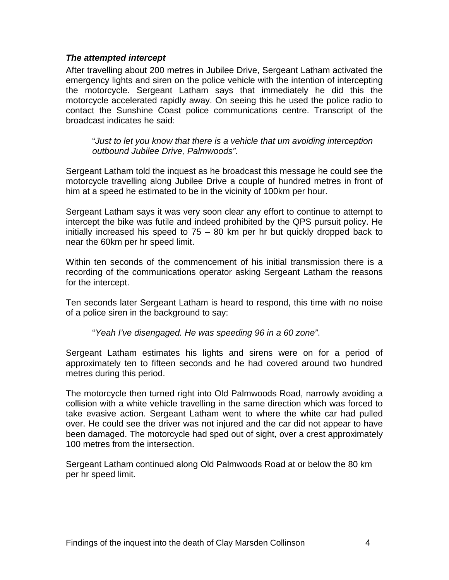#### <span id="page-5-0"></span>*The attempted intercept*

After travelling about 200 metres in Jubilee Drive, Sergeant Latham activated the emergency lights and siren on the police vehicle with the intention of intercepting the motorcycle. Sergeant Latham says that immediately he did this the motorcycle accelerated rapidly away. On seeing this he used the police radio to contact the Sunshine Coast police communications centre. Transcript of the broadcast indicates he said:

"*Just to let you know that there is a vehicle that um avoiding interception outbound Jubilee Drive, Palmwoods".* 

Sergeant Latham told the inquest as he broadcast this message he could see the motorcycle travelling along Jubilee Drive a couple of hundred metres in front of him at a speed he estimated to be in the vicinity of 100km per hour.

Sergeant Latham says it was very soon clear any effort to continue to attempt to intercept the bike was futile and indeed prohibited by the QPS pursuit policy. He initially increased his speed to 75 – 80 km per hr but quickly dropped back to near the 60km per hr speed limit.

Within ten seconds of the commencement of his initial transmission there is a recording of the communications operator asking Sergeant Latham the reasons for the intercept.

Ten seconds later Sergeant Latham is heard to respond, this time with no noise of a police siren in the background to say:

"*Yeah I've disengaged. He was speeding 96 in a 60 zone"*.

Sergeant Latham estimates his lights and sirens were on for a period of approximately ten to fifteen seconds and he had covered around two hundred metres during this period.

The motorcycle then turned right into Old Palmwoods Road, narrowly avoiding a collision with a white vehicle travelling in the same direction which was forced to take evasive action. Sergeant Latham went to where the white car had pulled over. He could see the driver was not injured and the car did not appear to have been damaged. The motorcycle had sped out of sight, over a crest approximately 100 metres from the intersection.

Sergeant Latham continued along Old Palmwoods Road at or below the 80 km per hr speed limit.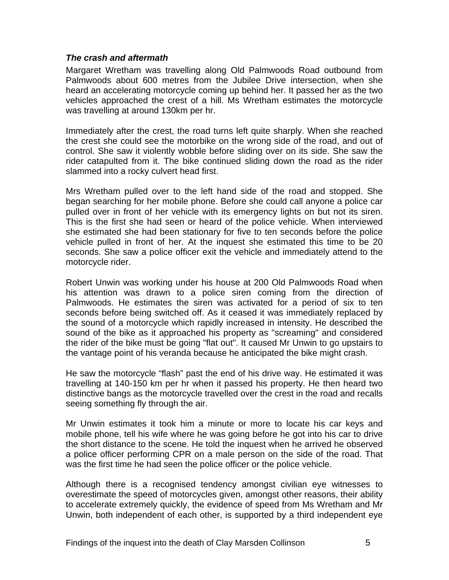#### <span id="page-6-0"></span>*The crash and aftermath*

Margaret Wretham was travelling along Old Palmwoods Road outbound from Palmwoods about 600 metres from the Jubilee Drive intersection, when she heard an accelerating motorcycle coming up behind her. It passed her as the two vehicles approached the crest of a hill. Ms Wretham estimates the motorcycle was travelling at around 130km per hr.

Immediately after the crest, the road turns left quite sharply. When she reached the crest she could see the motorbike on the wrong side of the road, and out of control. She saw it violently wobble before sliding over on its side. She saw the rider catapulted from it. The bike continued sliding down the road as the rider slammed into a rocky culvert head first.

Mrs Wretham pulled over to the left hand side of the road and stopped. She began searching for her mobile phone. Before she could call anyone a police car pulled over in front of her vehicle with its emergency lights on but not its siren. This is the first she had seen or heard of the police vehicle. When interviewed she estimated she had been stationary for five to ten seconds before the police vehicle pulled in front of her. At the inquest she estimated this time to be 20 seconds. She saw a police officer exit the vehicle and immediately attend to the motorcycle rider.

Robert Unwin was working under his house at 200 Old Palmwoods Road when his attention was drawn to a police siren coming from the direction of Palmwoods. He estimates the siren was activated for a period of six to ten seconds before being switched off. As it ceased it was immediately replaced by the sound of a motorcycle which rapidly increased in intensity. He described the sound of the bike as it approached his property as "screaming" and considered the rider of the bike must be going "flat out". It caused Mr Unwin to go upstairs to the vantage point of his veranda because he anticipated the bike might crash.

He saw the motorcycle "flash" past the end of his drive way. He estimated it was travelling at 140-150 km per hr when it passed his property. He then heard two distinctive bangs as the motorcycle travelled over the crest in the road and recalls seeing something fly through the air.

Mr Unwin estimates it took him a minute or more to locate his car keys and mobile phone, tell his wife where he was going before he got into his car to drive the short distance to the scene. He told the inquest when he arrived he observed a police officer performing CPR on a male person on the side of the road. That was the first time he had seen the police officer or the police vehicle.

Although there is a recognised tendency amongst civilian eye witnesses to overestimate the speed of motorcycles given, amongst other reasons, their ability to accelerate extremely quickly, the evidence of speed from Ms Wretham and Mr Unwin, both independent of each other, is supported by a third independent eye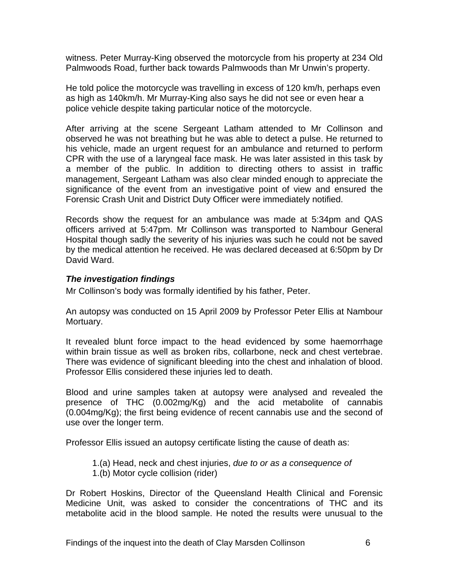<span id="page-7-0"></span>witness. Peter Murray-King observed the motorcycle from his property at 234 Old Palmwoods Road, further back towards Palmwoods than Mr Unwin's property.

He told police the motorcycle was travelling in excess of 120 km/h, perhaps even as high as 140km/h. Mr Murray-King also says he did not see or even hear a police vehicle despite taking particular notice of the motorcycle.

After arriving at the scene Sergeant Latham attended to Mr Collinson and observed he was not breathing but he was able to detect a pulse. He returned to his vehicle, made an urgent request for an ambulance and returned to perform CPR with the use of a laryngeal face mask. He was later assisted in this task by a member of the public. In addition to directing others to assist in traffic management, Sergeant Latham was also clear minded enough to appreciate the significance of the event from an investigative point of view and ensured the Forensic Crash Unit and District Duty Officer were immediately notified.

Records show the request for an ambulance was made at 5:34pm and QAS officers arrived at 5:47pm. Mr Collinson was transported to Nambour General Hospital though sadly the severity of his injuries was such he could not be saved by the medical attention he received. He was declared deceased at 6:50pm by Dr David Ward.

#### *The investigation findings*

Mr Collinson's body was formally identified by his father, Peter.

An autopsy was conducted on 15 April 2009 by Professor Peter Ellis at Nambour Mortuary.

It revealed blunt force impact to the head evidenced by some haemorrhage within brain tissue as well as broken ribs, collarbone, neck and chest vertebrae. There was evidence of significant bleeding into the chest and inhalation of blood. Professor Ellis considered these injuries led to death.

Blood and urine samples taken at autopsy were analysed and revealed the presence of THC (0.002mg/Kg) and the acid metabolite of cannabis (0.004mg/Kg); the first being evidence of recent cannabis use and the second of use over the longer term.

Professor Ellis issued an autopsy certificate listing the cause of death as:

- 1.(a) Head, neck and chest injuries, *due to or as a consequence of*
- 1.(b) Motor cycle collision (rider)

Dr Robert Hoskins, Director of the Queensland Health Clinical and Forensic Medicine Unit, was asked to consider the concentrations of THC and its metabolite acid in the blood sample. He noted the results were unusual to the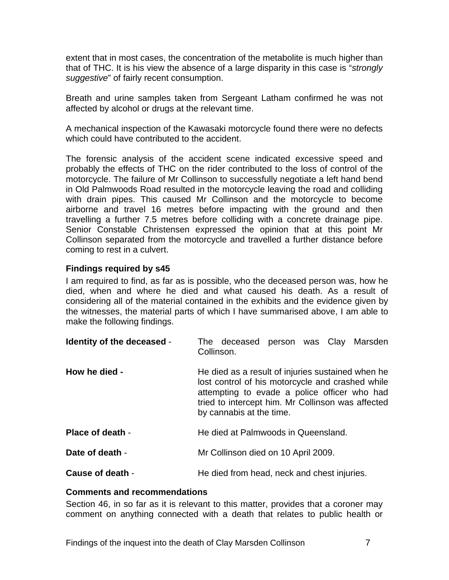<span id="page-8-0"></span>extent that in most cases, the concentration of the metabolite is much higher than that of THC. It is his view the absence of a large disparity in this case is "*strongly suggestive*" of fairly recent consumption.

Breath and urine samples taken from Sergeant Latham confirmed he was not affected by alcohol or drugs at the relevant time.

A mechanical inspection of the Kawasaki motorcycle found there were no defects which could have contributed to the accident.

The forensic analysis of the accident scene indicated excessive speed and probably the effects of THC on the rider contributed to the loss of control of the motorcycle. The failure of Mr Collinson to successfully negotiate a left hand bend in Old Palmwoods Road resulted in the motorcycle leaving the road and colliding with drain pipes. This caused Mr Collinson and the motorcycle to become airborne and travel 16 metres before impacting with the ground and then travelling a further 7.5 metres before colliding with a concrete drainage pipe. Senior Constable Christensen expressed the opinion that at this point Mr Collinson separated from the motorcycle and travelled a further distance before coming to rest in a culvert.

#### **Findings required by s45**

I am required to find, as far as is possible, who the deceased person was, how he died, when and where he died and what caused his death. As a result of considering all of the material contained in the exhibits and the evidence given by the witnesses, the material parts of which I have summarised above, I am able to make the following findings.

| Identity of the deceased - | The deceased person was Clay Marsden<br>Collinson.                                                                                                                                                                                     |
|----------------------------|----------------------------------------------------------------------------------------------------------------------------------------------------------------------------------------------------------------------------------------|
| How he died -              | He died as a result of injuries sustained when he<br>lost control of his motorcycle and crashed while<br>attempting to evade a police officer who had<br>tried to intercept him. Mr Collinson was affected<br>by cannabis at the time. |
| Place of death -           | He died at Palmwoods in Queensland.                                                                                                                                                                                                    |
| Date of death -            | Mr Collinson died on 10 April 2009.                                                                                                                                                                                                    |
| Cause of death -           | He died from head, neck and chest injuries.                                                                                                                                                                                            |

#### **Comments and recommendations**

Section 46, in so far as it is relevant to this matter, provides that a coroner may comment on anything connected with a death that relates to public health or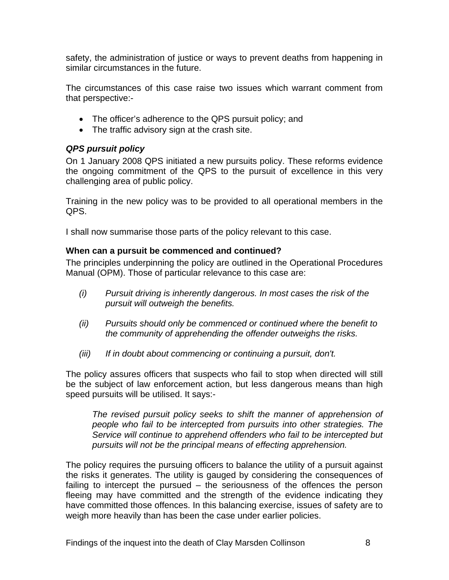<span id="page-9-0"></span>safety, the administration of justice or ways to prevent deaths from happening in similar circumstances in the future.

The circumstances of this case raise two issues which warrant comment from that perspective:-

- The officer's adherence to the QPS pursuit policy; and
- The traffic advisory sign at the crash site.

#### *QPS pursuit policy*

On 1 January 2008 QPS initiated a new pursuits policy. These reforms evidence the ongoing commitment of the QPS to the pursuit of excellence in this very challenging area of public policy.

Training in the new policy was to be provided to all operational members in the QPS.

I shall now summarise those parts of the policy relevant to this case.

#### **When can a pursuit be commenced and continued?**

The principles underpinning the policy are outlined in the Operational Procedures Manual (OPM). Those of particular relevance to this case are:

- *(i) Pursuit driving is inherently dangerous. In most cases the risk of the pursuit will outweigh the benefits.*
- *(ii) Pursuits should only be commenced or continued where the benefit to the community of apprehending the offender outweighs the risks.*
- *(iii) If in doubt about commencing or continuing a pursuit, don't.*

The policy assures officers that suspects who fail to stop when directed will still be the subject of law enforcement action, but less dangerous means than high speed pursuits will be utilised. It says:-

*The revised pursuit policy seeks to shift the manner of apprehension of people who fail to be intercepted from pursuits into other strategies. The Service will continue to apprehend offenders who fail to be intercepted but pursuits will not be the principal means of effecting apprehension.* 

The policy requires the pursuing officers to balance the utility of a pursuit against the risks it generates. The utility is gauged by considering the consequences of failing to intercept the pursued – the seriousness of the offences the person fleeing may have committed and the strength of the evidence indicating they have committed those offences. In this balancing exercise, issues of safety are to weigh more heavily than has been the case under earlier policies.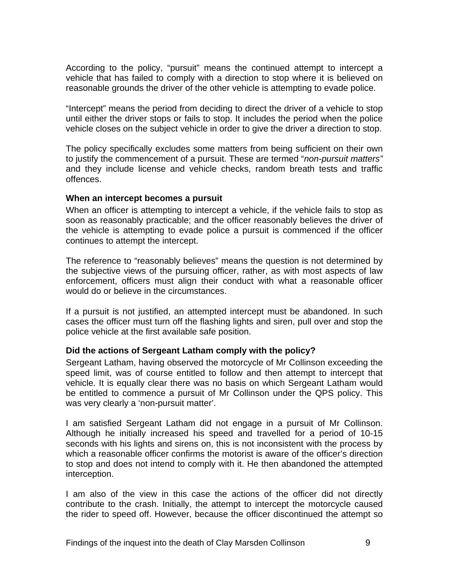<span id="page-10-0"></span>According to the policy, "pursuit" means the continued attempt to intercept a vehicle that has failed to comply with a direction to stop where it is believed on reasonable grounds the driver of the other vehicle is attempting to evade police.

"Intercept" means the period from deciding to direct the driver of a vehicle to stop until either the driver stops or fails to stop. It includes the period when the police vehicle closes on the subject vehicle in order to give the driver a direction to stop.

The policy specifically excludes some matters from being sufficient on their own to justify the commencement of a pursuit. These are termed "*non-pursuit matters"* and they include license and vehicle checks, random breath tests and traffic offences.

#### **When an intercept becomes a pursuit**

When an officer is attempting to intercept a vehicle, if the vehicle fails to stop as soon as reasonably practicable; and the officer reasonably believes the driver of the vehicle is attempting to evade police a pursuit is commenced if the officer continues to attempt the intercept.

The reference to "reasonably believes" means the question is not determined by the subjective views of the pursuing officer, rather, as with most aspects of law enforcement, officers must align their conduct with what a reasonable officer would do or believe in the circumstances.

If a pursuit is not justified, an attempted intercept must be abandoned. In such cases the officer must turn off the flashing lights and siren, pull over and stop the police vehicle at the first available safe position.

#### **Did the actions of Sergeant Latham comply with the policy?**

Sergeant Latham, having observed the motorcycle of Mr Collinson exceeding the speed limit, was of course entitled to follow and then attempt to intercept that vehicle. It is equally clear there was no basis on which Sergeant Latham would be entitled to commence a pursuit of Mr Collinson under the QPS policy. This was very clearly a 'non-pursuit matter'.

I am satisfied Sergeant Latham did not engage in a pursuit of Mr Collinson. Although he initially increased his speed and travelled for a period of 10-15 seconds with his lights and sirens on, this is not inconsistent with the process by which a reasonable officer confirms the motorist is aware of the officer's direction to stop and does not intend to comply with it. He then abandoned the attempted interception.

I am also of the view in this case the actions of the officer did not directly contribute to the crash. Initially, the attempt to intercept the motorcycle caused the rider to speed off. However, because the officer discontinued the attempt so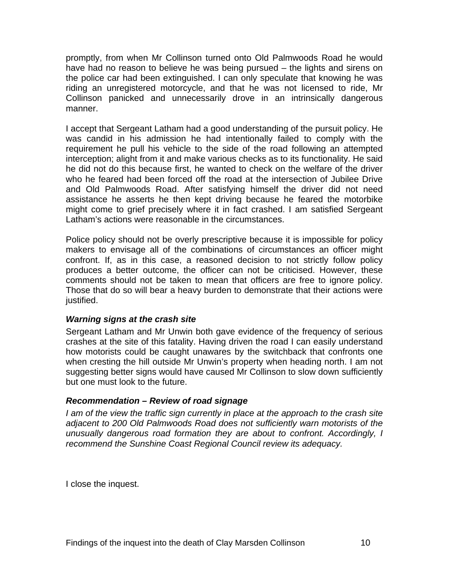<span id="page-11-0"></span>promptly, from when Mr Collinson turned onto Old Palmwoods Road he would have had no reason to believe he was being pursued – the lights and sirens on the police car had been extinguished. I can only speculate that knowing he was riding an unregistered motorcycle, and that he was not licensed to ride, Mr Collinson panicked and unnecessarily drove in an intrinsically dangerous manner.

I accept that Sergeant Latham had a good understanding of the pursuit policy. He was candid in his admission he had intentionally failed to comply with the requirement he pull his vehicle to the side of the road following an attempted interception; alight from it and make various checks as to its functionality. He said he did not do this because first, he wanted to check on the welfare of the driver who he feared had been forced off the road at the intersection of Jubilee Drive and Old Palmwoods Road. After satisfying himself the driver did not need assistance he asserts he then kept driving because he feared the motorbike might come to grief precisely where it in fact crashed. I am satisfied Sergeant Latham's actions were reasonable in the circumstances.

Police policy should not be overly prescriptive because it is impossible for policy makers to envisage all of the combinations of circumstances an officer might confront. If, as in this case, a reasoned decision to not strictly follow policy produces a better outcome, the officer can not be criticised. However, these comments should not be taken to mean that officers are free to ignore policy. Those that do so will bear a heavy burden to demonstrate that their actions were justified.

#### *Warning signs at the crash site*

Sergeant Latham and Mr Unwin both gave evidence of the frequency of serious crashes at the site of this fatality. Having driven the road I can easily understand how motorists could be caught unawares by the switchback that confronts one when cresting the hill outside Mr Unwin's property when heading north. I am not suggesting better signs would have caused Mr Collinson to slow down sufficiently but one must look to the future.

#### *Recommendation – Review of road signage*

*I am of the view the traffic sign currently in place at the approach to the crash site adjacent to 200 Old Palmwoods Road does not sufficiently warn motorists of the unusually dangerous road formation they are about to confront. Accordingly, I recommend the Sunshine Coast Regional Council review its adequacy.* 

I close the inquest.